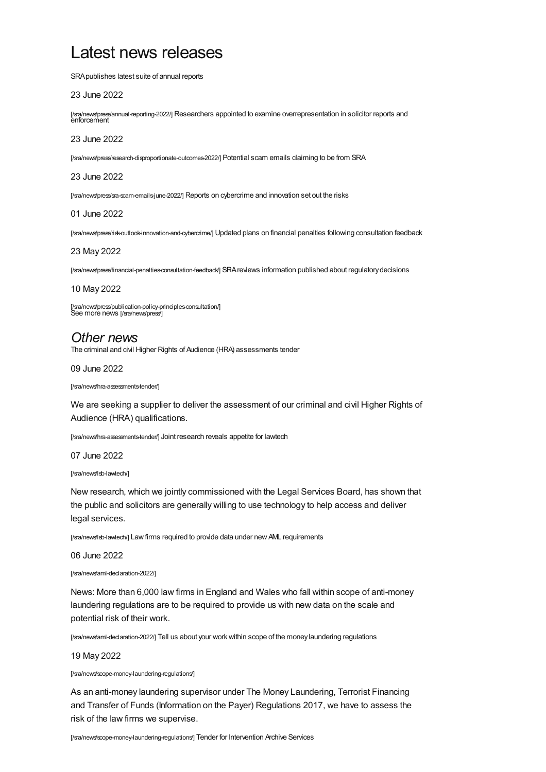# Latest news releases

SRApublishes latest suite of annual reports

# 23 June 2022

[\[/sra/news/press/annual-reporting-2022/\]](https://www.sra.org.uk/sra/news/press/annual-reporting-2022/) Researchers appointed to examine overrepresentation in solicitor reports and enforcement

# 23 June 2022

[\[/sra/news/press/research-disproportionate-outcomes-2022/\]](https://www.sra.org.uk/sra/news/press/research-disproportionate-outcomes-2022/) Potential scam emails claiming to be from SRA

### 23 June 2022

[\[/sra/news/press/sra-scam-emails-june-2022/\]](https://www.sra.org.uk/sra/news/press/sra-scam-emails-june-2022/) Reports on cybercrime and innovation set out the risks

#### 01 June 2022

[\[/sra/news/press/risk-outlook-innovation-and-cybercrime/\]](https://www.sra.org.uk/sra/news/press/risk-outlook-innovation-and-cybercrime/) Updated plans on financial penalties following consultation feedback

### 23 May 2022

[\[/sra/news/press/financial-penalties-consultation-feedback/\]](https://www.sra.org.uk/sra/news/press/financial-penalties-consultation-feedback/) SRAreviews information published about regulatorydecisions

### 10 May 2022

[\[/sra/news/press/publication-policy-principles-consultation/\]](https://www.sra.org.uk/sra/news/press/publication-policy-principles-consultation/) See more news [\[/sra/news/press/\]](https://www.sra.org.uk/sra/news/press/)

# *Other news*

The criminal and civil Higher Rights of Audience (HRA) assessments tender

### 09 June 2022

[/sra/news/hra-assessments-tender/]

We are seeking a supplier to deliver the assessment of our criminal and civil Higher Rights of Audience (HRA) qualifications.

[\[/sra/news/hra-assessments-tender/\]](https://www.sra.org.uk/sra/news/hra-assessments-tender/) Joint research reveals appetite for lawtech

07 June 2022

[/sra/news/lsb-lawtech/]

New research, which we jointly commissioned with the Legal Services Board, has shown that the public and solicitors are generally willing to use technology to help access and deliver legal services.

[\[/sra/news/lsb-lawtech/\]](https://www.sra.org.uk/sra/news/lsb-lawtech/) Law firms required to provide data under new AML requirements

06 June 2022

[/sra/news/aml-declaration-2022/]

News: More than 6,000 law firms in England and Wales who fall within scope of anti-money laundering regulations are to be required to provide us with new data on the scale and potential risk of their work.

[\[/sra/news/aml-declaration-2022/\]](https://www.sra.org.uk/sra/news/aml-declaration-2022/) Tell us about your work within scope of the money laundering regulations

### 19 May 2022

[/sra/news/scope-money-laundering-regulations/]

As an anti-money laundering supervisor under The Money Laundering, Terrorist Financing and Transfer of Funds (Information on the Payer) Regulations 2017, we have to assess the risk of the law firms we supervise.

[\[/sra/news/scope-money-laundering-regulations/\]](https://www.sra.org.uk/sra/news/scope-money-laundering-regulations/) Tender for Intervention Archive Services